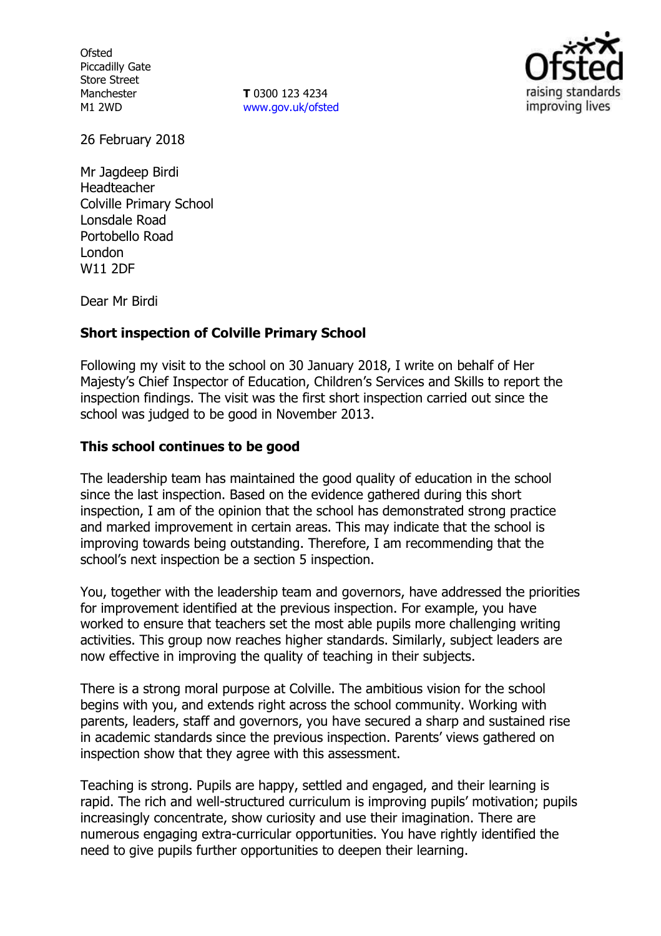**Ofsted** Piccadilly Gate Store Street Manchester M1 2WD

**T** 0300 123 4234 www.gov.uk/ofsted



26 February 2018

Mr Jagdeep Birdi Headteacher Colville Primary School Lonsdale Road Portobello Road London W11 2DF

Dear Mr Birdi

## **Short inspection of Colville Primary School**

Following my visit to the school on 30 January 2018, I write on behalf of Her Majesty's Chief Inspector of Education, Children's Services and Skills to report the inspection findings. The visit was the first short inspection carried out since the school was judged to be good in November 2013.

## **This school continues to be good**

The leadership team has maintained the good quality of education in the school since the last inspection. Based on the evidence gathered during this short inspection, I am of the opinion that the school has demonstrated strong practice and marked improvement in certain areas. This may indicate that the school is improving towards being outstanding. Therefore, I am recommending that the school's next inspection be a section 5 inspection.

You, together with the leadership team and governors, have addressed the priorities for improvement identified at the previous inspection. For example, you have worked to ensure that teachers set the most able pupils more challenging writing activities. This group now reaches higher standards. Similarly, subject leaders are now effective in improving the quality of teaching in their subjects.

There is a strong moral purpose at Colville. The ambitious vision for the school begins with you, and extends right across the school community. Working with parents, leaders, staff and governors, you have secured a sharp and sustained rise in academic standards since the previous inspection. Parents' views gathered on inspection show that they agree with this assessment.

Teaching is strong. Pupils are happy, settled and engaged, and their learning is rapid. The rich and well-structured curriculum is improving pupils' motivation; pupils increasingly concentrate, show curiosity and use their imagination. There are numerous engaging extra-curricular opportunities. You have rightly identified the need to give pupils further opportunities to deepen their learning.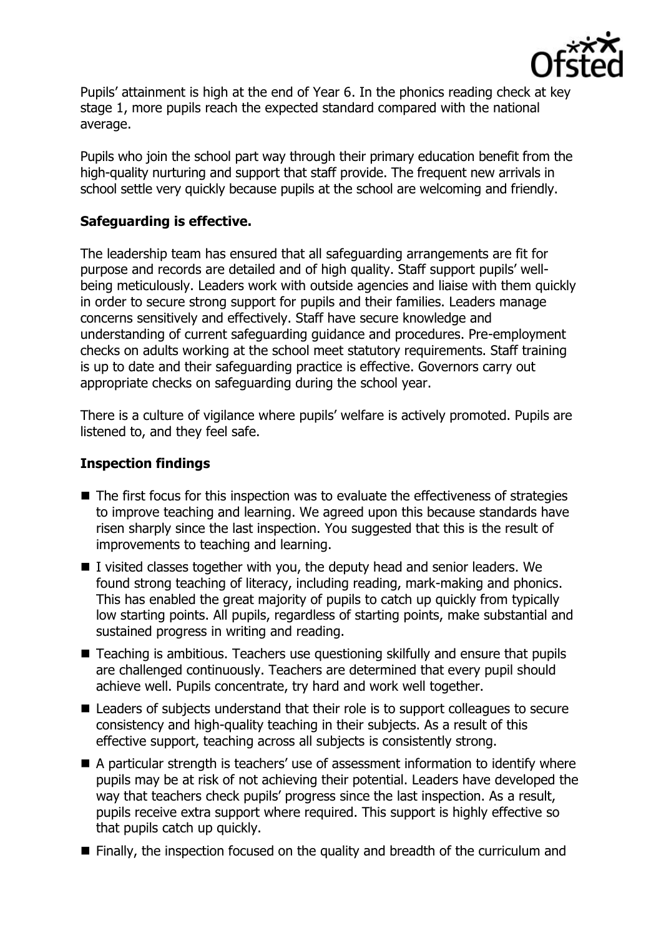

Pupils' attainment is high at the end of Year 6. In the phonics reading check at key stage 1, more pupils reach the expected standard compared with the national average.

Pupils who join the school part way through their primary education benefit from the high-quality nurturing and support that staff provide. The frequent new arrivals in school settle very quickly because pupils at the school are welcoming and friendly.

# **Safeguarding is effective.**

The leadership team has ensured that all safeguarding arrangements are fit for purpose and records are detailed and of high quality. Staff support pupils' wellbeing meticulously. Leaders work with outside agencies and liaise with them quickly in order to secure strong support for pupils and their families. Leaders manage concerns sensitively and effectively. Staff have secure knowledge and understanding of current safeguarding guidance and procedures. Pre-employment checks on adults working at the school meet statutory requirements. Staff training is up to date and their safeguarding practice is effective. Governors carry out appropriate checks on safeguarding during the school year.

There is a culture of vigilance where pupils' welfare is actively promoted. Pupils are listened to, and they feel safe.

## **Inspection findings**

- $\blacksquare$  The first focus for this inspection was to evaluate the effectiveness of strategies to improve teaching and learning. We agreed upon this because standards have risen sharply since the last inspection. You suggested that this is the result of improvements to teaching and learning.
- I visited classes together with you, the deputy head and senior leaders. We found strong teaching of literacy, including reading, mark-making and phonics. This has enabled the great majority of pupils to catch up quickly from typically low starting points. All pupils, regardless of starting points, make substantial and sustained progress in writing and reading.
- Teaching is ambitious. Teachers use questioning skilfully and ensure that pupils are challenged continuously. Teachers are determined that every pupil should achieve well. Pupils concentrate, try hard and work well together.
- Leaders of subjects understand that their role is to support colleagues to secure consistency and high-quality teaching in their subjects. As a result of this effective support, teaching across all subjects is consistently strong.
- A particular strength is teachers' use of assessment information to identify where pupils may be at risk of not achieving their potential. Leaders have developed the way that teachers check pupils' progress since the last inspection. As a result, pupils receive extra support where required. This support is highly effective so that pupils catch up quickly.
- Finally, the inspection focused on the quality and breadth of the curriculum and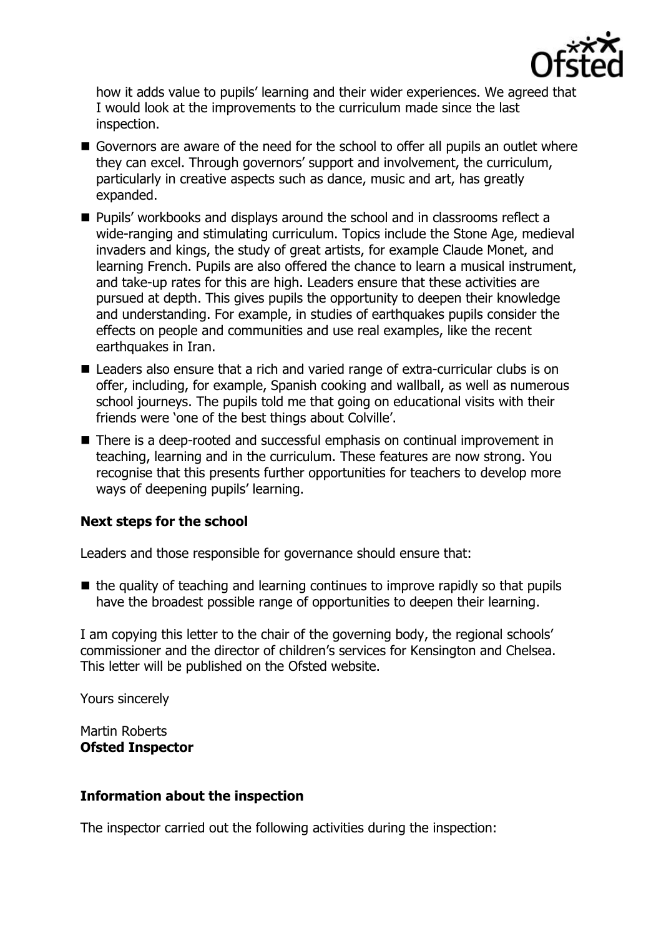

how it adds value to pupils' learning and their wider experiences. We agreed that I would look at the improvements to the curriculum made since the last inspection.

- Governors are aware of the need for the school to offer all pupils an outlet where they can excel. Through governors' support and involvement, the curriculum, particularly in creative aspects such as dance, music and art, has greatly expanded.
- **Pupils' workbooks and displays around the school and in classrooms reflect a** wide-ranging and stimulating curriculum. Topics include the Stone Age, medieval invaders and kings, the study of great artists, for example Claude Monet, and learning French. Pupils are also offered the chance to learn a musical instrument, and take-up rates for this are high. Leaders ensure that these activities are pursued at depth. This gives pupils the opportunity to deepen their knowledge and understanding. For example, in studies of earthquakes pupils consider the effects on people and communities and use real examples, like the recent earthquakes in Iran.
- Leaders also ensure that a rich and varied range of extra-curricular clubs is on offer, including, for example, Spanish cooking and wallball, as well as numerous school journeys. The pupils told me that going on educational visits with their friends were 'one of the best things about Colville'.
- There is a deep-rooted and successful emphasis on continual improvement in teaching, learning and in the curriculum. These features are now strong. You recognise that this presents further opportunities for teachers to develop more ways of deepening pupils' learning.

## **Next steps for the school**

Leaders and those responsible for governance should ensure that:

 $\blacksquare$  the quality of teaching and learning continues to improve rapidly so that pupils have the broadest possible range of opportunities to deepen their learning.

I am copying this letter to the chair of the governing body, the regional schools' commissioner and the director of children's services for Kensington and Chelsea. This letter will be published on the Ofsted website.

Yours sincerely

Martin Roberts **Ofsted Inspector**

## **Information about the inspection**

The inspector carried out the following activities during the inspection: